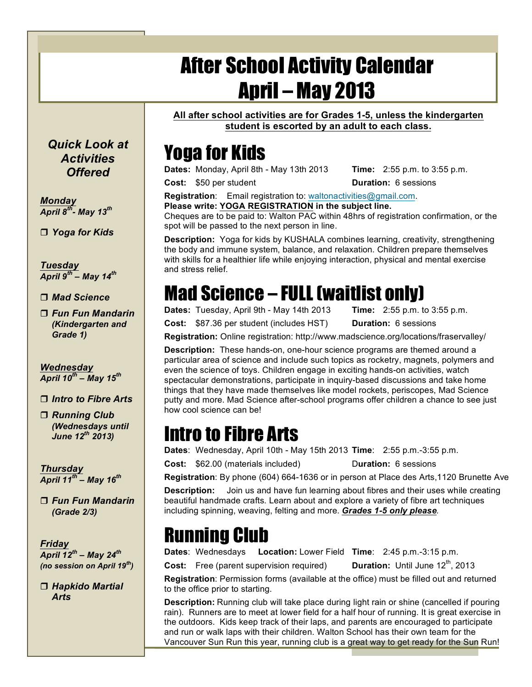# After School Activity Calendar April – May 2013

**All after school activities are for Grades 1-5, unless the kindergarten student is escorted by an adult to each class.**

## Yoga for Kids

**Dates:** Monday, April 8th - May 13th 2013 **Time:** 2:55 p.m. to 3:55 p.m.

**Cost:** \$50 per student **Duration:** 6 sessions

**Registration**: Email registration to: waltonactivities@gmail.com.

**Please write: YOGA REGISTRATION in the subject line.** 

Cheques are to be paid to: Walton PAC within 48hrs of registration confirmation, or the spot will be passed to the next person in line.

**Description:** Yoga for kids by KUSHALA combines learning, creativity, strengthening the body and immune system, balance, and relaxation. Children prepare themselves with skills for a healthier life while enjoying interaction, physical and mental exercise and stress relief.

## Mad Science – FULL (waitlist only)

**Dates:** Tuesday, April 9th - May 14th 2013 **Time:** 2:55 p.m. to 3:55 p.m.

**Cost:** \$87.36 per student (includes HST) **Duration:** 6 sessions

**Registration:** Online registration: http://www.madscience.org/locations/fraservalley/

**Description:** These hands-on, one-hour science programs are themed around a particular area of science and include such topics as rocketry, magnets, polymers and even the science of toys. Children engage in exciting hands-on activities, watch spectacular demonstrations, participate in inquiry-based discussions and take home things that they have made themselves like model rockets, periscopes, Mad Science putty and more. Mad Science after-school programs offer children a chance to see just how cool science can be!

### Intro to Fibre Arts

**Dates**: Wednesday, April 10th - May 15th 2013 **Time**: 2:55 p.m.-3:55 p.m.

**Cost:** \$62.00 (materials included) Duration: 6 sessions

**Registration**: By phone (604) 664-1636 or in person at Place des Arts,1120 Brunette Ave

**Description:** Join us and have fun learning about fibres and their uses while creating beautiful handmade crafts. Learn about and explore a variety of fibre art techniques including spinning, weaving, felting and more. *Grades 1-5 only please.*

#### Running Club

**Dates**: Wednesdays **Location:** Lower Field **Time**: 2:45 p.m.-3:15 p.m.

**Cost:** Free (parent supervision required) **Duration:** Until June 12<sup>th</sup>, 2013

**Registration**: Permission forms (available at the office) must be filled out and returned to the office prior to starting.

**Description:** Running club will take place during light rain or shine (cancelled if pouring rain). Runners are to meet at lower field for a half hour of running. It is great exercise in the outdoors. Kids keep track of their laps, and parents are encouraged to participate and run or walk laps with their children. Walton School has their own team for the Vancouver Sun Run this year, running club is a great way to get ready for the Sun Run!

*Quick Look at Activities Offered*

*Monday April 8th- May 13th*

*Yoga for Kids*

*Tuesday April 9th – May 14th*

*Mad Science*

 *Fun Fun Mandarin (Kindergarten and Grade 1)*

*Wednesday April 10th – May 15th*

*Intro to Fibre Arts*

 *Running Club (Wednesdays until June 12th 2013)*

*Thursday April 11th – May 16th*

 *Fun Fun Mandarin (Grade 2/3)*

*Friday April 12th – May 24th (no session on April 19th)*

 *Hapkido Martial Arts*